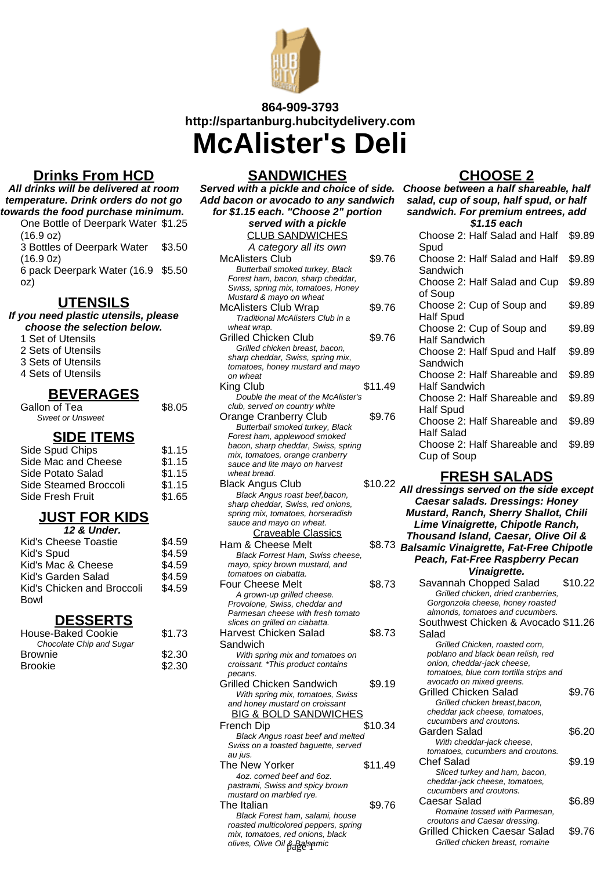

# **864-909-3793 http://spartanburg.hubcitydelivery.com McAlister's Deli**

### **Drinks From HCD**

**All drinks will be delivered at room temperature. Drink orders do not go towards the food purchase minimum.** One Bottle of Deerpark Water \$1.25

(16.9 oz) 3 Bottles of Deerpark Water (16.9 0z) \$3.50 6 pack Deerpark Water (16.9 \$5.50

oz)

### **UTENSILS**

**If you need plastic utensils, please choose the selection below.**

- 1 Set of Utensils
- 2 Sets of Utensils
- 3 Sets of Utensils
- 4 Sets of Utensils

### **BEVERAGES**

| Gallon of Tea           |  |
|-------------------------|--|
| <b>Sweet or Unsweet</b> |  |

#### **SIDE ITEMS**

\$8.05

| Side Spud Chips       | \$1.15 |
|-----------------------|--------|
| Side Mac and Cheese   | \$1.15 |
| Side Potato Salad     | \$1.15 |
| Side Steamed Broccoli | \$1.15 |
| Side Fresh Fruit      | \$1.65 |
|                       |        |

### **JUST FOR KIDS**

| 12 & Under.                |        |  |
|----------------------------|--------|--|
| Kid's Cheese Toastie       | \$4.59 |  |
| Kid's Spud                 | \$4.59 |  |
| Kid's Mac & Cheese         | \$4.59 |  |
| Kid's Garden Salad         | \$4.59 |  |
| Kid's Chicken and Broccoli | \$4.59 |  |
| Bowl                       |        |  |

### **DESSERTS**

| \$1.73 |  |
|--------|--|
|        |  |
| \$2.30 |  |
| \$2.30 |  |
|        |  |

**SANDWICHES Served with a pickle and choice of side. Add bacon or avocado to any sandwich for \$1.15 each. "Choose 2" portion served with a pickle** CLUB SANDWICHES A category all its own McAlisters Club \$9.76 Butterball smoked turkey, Black Forest ham, bacon, sharp cheddar, Swiss, spring mix, tomatoes, Honey Mustard & mayo on wheat McAlisters Club Wrap \$9.76 Traditional McAlisters Club in a wheat wrap. Grilled Chicken Club \$9.76 Grilled chicken breast, bacon, sharp cheddar, Swiss, spring mix, tomatoes, honey mustard and mayo on wheat King Club \$11.49 Double the meat of the McAlister's club, served on country white Orange Cranberry Club \$9.76 Butterball smoked turkey, Black Forest ham, applewood smoked bacon, sharp cheddar, Swiss, spring mix, tomatoes, orange cranberry sauce and lite mayo on harvest wheat bread. Black Angus Club \$10.2 Black Angus roast beef,bacon, sharp cheddar, Swiss, red onions, spring mix, tomatoes, horseradish sauce and mayo on wheat. Craveable Classics Ham & Cheese Melt \$8.7 Black Forrest Ham, Swiss cheese, mayo, spicy brown mustard, and tomatoes on ciabatta. Four Cheese Melt \$8.7 A grown-up grilled cheese. Provolone, Swiss, cheddar and Parmesan cheese with fresh tomato slices on grilled on ciabatta. Harvest Chicken Salad Sandwich \$8.7 With spring mix and tomatoes on croissant. \*This product contains pecans. Grilled Chicken Sandwich \$9.1 With spring mix, tomatoes, Swiss and honey mustard on croissant **BIG & BOLD SANDWICHES** French Dip \$10.3 Black Angus roast beef and melted

# **CHOOSE 2**

**Choose between a half shareable, half salad, cup of soup, half spud, or half sandwich. For premium entrees, add \$1.15 each** Choose 2: Half Salad and Half **Spud** \$9.89 Choose 2: Half Salad and Half Sandwich \$9.89 Choose 2: Half Salad and Cup of Soup \$9.89 Choose 2: Cup of Soup and Half Spud \$9.89 Choose 2: Cup of Soup and Half Sandwich \$9.89 Choose 2: Half Spud and Half Sandwich \$9.89 Choose 2: Half Shareable and Half Sandwich \$9.89 Choose 2: Half Shareable and Half Spud \$9.89 Choose 2: Half Shareable and Half Salad \$9.89 Choose 2: Half Shareable and Cup of Soup \$9.89

## **FRESH SALADS**

| Black Angus Club                         | \$10.22 | <u>.</u>                                       |         |
|------------------------------------------|---------|------------------------------------------------|---------|
| Black Angus roast beef, bacon,           |         | All dressings served on the side except        |         |
| sharp cheddar, Swiss, red onions,        |         | <b>Caesar salads. Dressings: Honey</b>         |         |
| spring mix, tomatoes, horseradish        |         | <b>Mustard, Ranch, Sherry Shallot, Chili</b>   |         |
| sauce and mayo on wheat.                 |         | Lime Vinaigrette, Chipotle Ranch,              |         |
| <b>Craveable Classics</b>                |         | Thousand Island, Caesar, Olive Oil &           |         |
| Ham & Cheese Melt                        | \$8.73  |                                                |         |
| Black Forrest Ham, Swiss cheese,         |         | <b>Balsamic Vinaigrette, Fat-Free Chipotle</b> |         |
| mayo, spicy brown mustard, and           |         | Peach, Fat-Free Raspberry Pecan                |         |
| tomatoes on ciabatta.                    |         | Vinaigrette.                                   |         |
| <b>Four Cheese Melt</b>                  | \$8.73  | Savannah Chopped Salad                         | \$10.22 |
| A grown-up grilled cheese.               |         | Grilled chicken, dried cranberries,            |         |
| Provolone, Swiss, cheddar and            |         | Gorgonzola cheese, honey roasted               |         |
| Parmesan cheese with fresh tomato        |         | almonds, tomatoes and cucumbers.               |         |
| slices on grilled on ciabatta.           |         | Southwest Chicken & Avocado \$11.26            |         |
| Harvest Chicken Salad                    | \$8.73  | Salad                                          |         |
| Sandwich                                 |         | Grilled Chicken, roasted corn,                 |         |
| With spring mix and tomatoes on          |         | poblano and black bean relish, red             |         |
| croissant. *This product contains        |         | onion, cheddar-jack cheese,                    |         |
| pecans.                                  |         | tomatoes, blue corn tortilla strips and        |         |
| Grilled Chicken Sandwich                 | \$9.19  | avocado on mixed greens.                       |         |
| With spring mix, tomatoes, Swiss         |         | Grilled Chicken Salad                          | \$9.76  |
| and honey mustard on croissant           |         | Grilled chicken breast, bacon,                 |         |
| <b>BIG &amp; BOLD SANDWICHES</b>         |         | cheddar jack cheese, tomatoes,                 |         |
| French Dip                               | \$10.34 | cucumbers and croutons.                        |         |
| <b>Black Angus roast beef and melted</b> |         | Garden Salad                                   | \$6.20  |
| Swiss on a toasted baguette, served      |         | With cheddar-jack cheese,                      |         |
| au jus.                                  |         | tomatoes, cucumbers and croutons.              |         |
| The New Yorker                           | \$11.49 | <b>Chef Salad</b>                              | \$9.19  |
| 4oz. corned beef and 6oz.                |         | Sliced turkey and ham, bacon,                  |         |
| pastrami, Swiss and spicy brown          |         | cheddar-jack cheese, tomatoes,                 |         |
| mustard on marbled rye.                  |         | cucumbers and croutons.                        |         |
| The Italian                              | \$9.76  | Caesar Salad                                   | \$6.89  |
| Black Forest ham, salami, house          |         | Romaine tossed with Parmesan,                  |         |
| roasted multicolored peppers, spring     |         | croutons and Caesar dressing.                  |         |
| mix, tomatoes, red onions, black         |         | <b>Grilled Chicken Caesar Salad</b>            | \$9.76  |
| olives, Olive Oil & Balsamic             |         | Grilled chicken breast, romaine                |         |
|                                          |         |                                                |         |